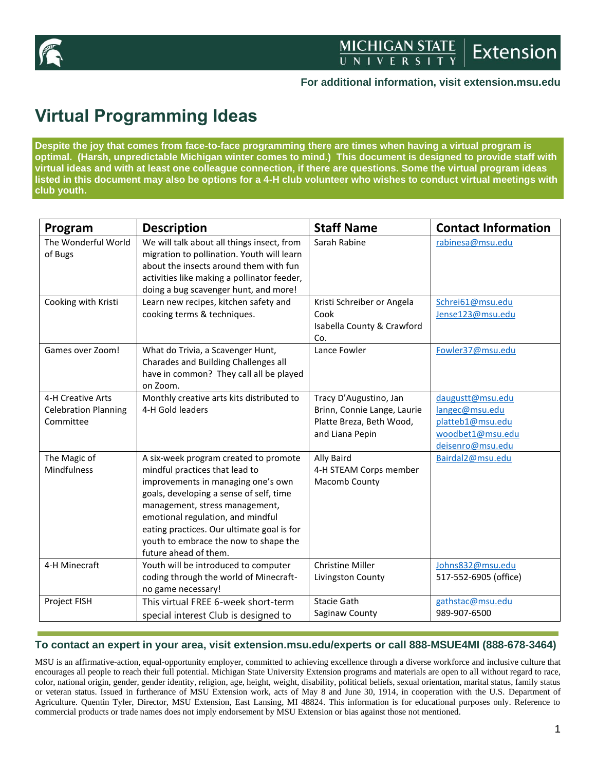

#### **For additional information, visit extension.msu.edu**

# **Virtual Programming Ideas**

**Despite the joy that comes from face-to-face programming there are times when having a virtual program is optimal. (Harsh, unpredictable Michigan winter comes to mind.) This document is designed to provide staff with virtual ideas and with at least one colleague connection, if there are questions. Some the virtual program ideas listed in this document may also be options for a 4-H club volunteer who wishes to conduct virtual meetings with club youth.** 

| Program                                                       | <b>Description</b>                                                                                                                                                                                                                                                                                                                              | <b>Staff Name</b>                                                                                    | <b>Contact Information</b>                                                                     |
|---------------------------------------------------------------|-------------------------------------------------------------------------------------------------------------------------------------------------------------------------------------------------------------------------------------------------------------------------------------------------------------------------------------------------|------------------------------------------------------------------------------------------------------|------------------------------------------------------------------------------------------------|
| The Wonderful World<br>of Bugs                                | We will talk about all things insect, from<br>migration to pollination. Youth will learn<br>about the insects around them with fun<br>activities like making a pollinator feeder,<br>doing a bug scavenger hunt, and more!                                                                                                                      | Sarah Rabine                                                                                         | rabinesa@msu.edu                                                                               |
| Cooking with Kristi                                           | Learn new recipes, kitchen safety and<br>cooking terms & techniques.                                                                                                                                                                                                                                                                            | Kristi Schreiber or Angela<br>Cook<br>Isabella County & Crawford<br>Co.                              | Schrei61@msu.edu<br>Jense123@msu.edu                                                           |
| Games over Zoom!                                              | What do Trivia, a Scavenger Hunt,<br>Charades and Building Challenges all<br>have in common? They call all be played<br>on Zoom.                                                                                                                                                                                                                | Lance Fowler                                                                                         | Fowler37@msu.edu                                                                               |
| 4-H Creative Arts<br><b>Celebration Planning</b><br>Committee | Monthly creative arts kits distributed to<br>4-H Gold leaders                                                                                                                                                                                                                                                                                   | Tracy D'Augustino, Jan<br>Brinn, Connie Lange, Laurie<br>Platte Breza, Beth Wood,<br>and Liana Pepin | daugustt@msu.edu<br>langec@msu.edu<br>platteb1@msu.edu<br>woodbet1@msu.edu<br>deisenro@msu.edu |
| The Magic of<br>Mindfulness                                   | A six-week program created to promote<br>mindful practices that lead to<br>improvements in managing one's own<br>goals, developing a sense of self, time<br>management, stress management,<br>emotional regulation, and mindful<br>eating practices. Our ultimate goal is for<br>youth to embrace the now to shape the<br>future ahead of them. | Ally Baird<br>4-H STEAM Corps member<br>Macomb County                                                | Bairdal2@msu.edu                                                                               |
| 4-H Minecraft                                                 | Youth will be introduced to computer<br>coding through the world of Minecraft-<br>no game necessary!                                                                                                                                                                                                                                            | <b>Christine Miller</b><br>Livingston County                                                         | Johns832@msu.edu<br>517-552-6905 (office)                                                      |
| Project FISH                                                  | This virtual FREE 6-week short-term<br>special interest Club is designed to                                                                                                                                                                                                                                                                     | Stacie Gath<br>Saginaw County                                                                        | gathstac@msu.edu<br>989-907-6500                                                               |

#### **To contact an expert in your area, visit extension.msu.edu/experts or call 888-MSUE4MI (888-678-3464)**

MSU is an affirmative-action, equal-opportunity employer, committed to achieving excellence through a diverse workforce and inclusive culture that encourages all people to reach their full potential. Michigan State University Extension programs and materials are open to all without regard to race, color, national origin, gender, gender identity, religion, age, height, weight, disability, political beliefs, sexual orientation, marital status, family status or veteran status. Issued in furtherance of MSU Extension work, acts of May 8 and June 30, 1914, in cooperation with the U.S. Department of Agriculture. Quentin Tyler, Director, MSU Extension, East Lansing, MI 48824. This information is for educational purposes only. Reference to commercial products or trade names does not imply endorsement by MSU Extension or bias against those not mentioned.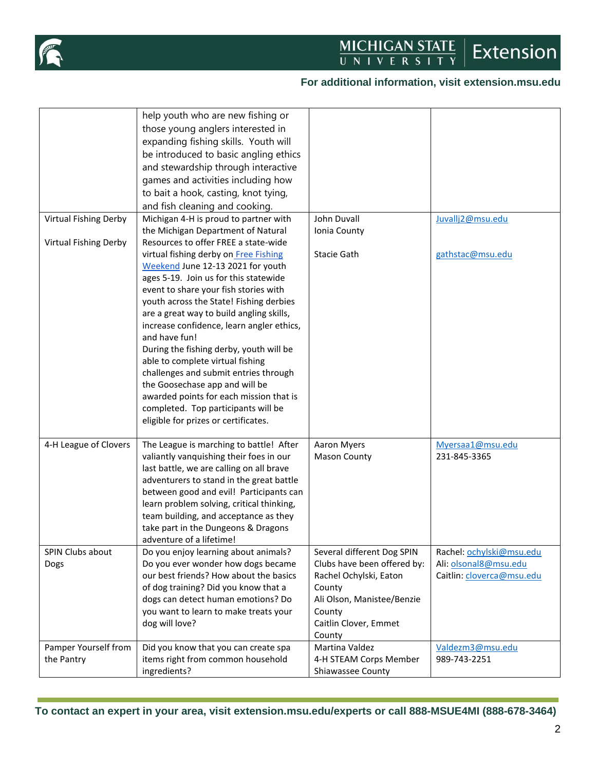

## **For additional information, visit extension.msu.edu**

|                          | help youth who are new fishing or<br>those young anglers interested in<br>expanding fishing skills. Youth will<br>be introduced to basic angling ethics<br>and stewardship through interactive<br>games and activities including how<br>to bait a hook, casting, knot tying,<br>and fish cleaning and cooking.                                                                                                                                                                                                                                                                                        |                                                                                                                                                                          |                                                                                |
|--------------------------|-------------------------------------------------------------------------------------------------------------------------------------------------------------------------------------------------------------------------------------------------------------------------------------------------------------------------------------------------------------------------------------------------------------------------------------------------------------------------------------------------------------------------------------------------------------------------------------------------------|--------------------------------------------------------------------------------------------------------------------------------------------------------------------------|--------------------------------------------------------------------------------|
| Virtual Fishing Derby    | Michigan 4-H is proud to partner with                                                                                                                                                                                                                                                                                                                                                                                                                                                                                                                                                                 | John Duvall                                                                                                                                                              | Juvallj2@msu.edu                                                               |
| Virtual Fishing Derby    | the Michigan Department of Natural<br>Resources to offer FREE a state-wide                                                                                                                                                                                                                                                                                                                                                                                                                                                                                                                            | Ionia County                                                                                                                                                             |                                                                                |
|                          | virtual fishing derby on Free Fishing<br>Weekend June 12-13 2021 for youth<br>ages 5-19. Join us for this statewide<br>event to share your fish stories with<br>youth across the State! Fishing derbies<br>are a great way to build angling skills,<br>increase confidence, learn angler ethics,<br>and have fun!<br>During the fishing derby, youth will be<br>able to complete virtual fishing<br>challenges and submit entries through<br>the Goosechase app and will be<br>awarded points for each mission that is<br>completed. Top participants will be<br>eligible for prizes or certificates. | Stacie Gath                                                                                                                                                              | gathstac@msu.edu                                                               |
| 4-H League of Clovers    | The League is marching to battle! After<br>valiantly vanquishing their foes in our<br>last battle, we are calling on all brave<br>adventurers to stand in the great battle<br>between good and evil! Participants can<br>learn problem solving, critical thinking,<br>team building, and acceptance as they<br>take part in the Dungeons & Dragons<br>adventure of a lifetime!                                                                                                                                                                                                                        | Aaron Myers<br><b>Mason County</b>                                                                                                                                       | Myersaa1@msu.edu<br>231-845-3365                                               |
| SPIN Clubs about<br>Dogs | Do you enjoy learning about animals?<br>Do you ever wonder how dogs became<br>our best friends? How about the basics<br>of dog training? Did you know that a<br>dogs can detect human emotions? Do<br>you want to learn to make treats your<br>dog will love?                                                                                                                                                                                                                                                                                                                                         | Several different Dog SPIN<br>Clubs have been offered by:<br>Rachel Ochylski, Eaton<br>County<br>Ali Olson, Manistee/Benzie<br>County<br>Caitlin Clover, Emmet<br>County | Rachel: ochylski@msu.edu<br>Ali: olsonal8@msu.edu<br>Caitlin: cloverca@msu.edu |
| Pamper Yourself from     | Did you know that you can create spa                                                                                                                                                                                                                                                                                                                                                                                                                                                                                                                                                                  | Martina Valdez                                                                                                                                                           | Valdezm3@msu.edu                                                               |
| the Pantry               | items right from common household<br>ingredients?                                                                                                                                                                                                                                                                                                                                                                                                                                                                                                                                                     | 4-H STEAM Corps Member<br>Shiawassee County                                                                                                                              | 989-743-2251                                                                   |

**To contact an expert in your area, visit extension.msu.edu/experts or call 888-MSUE4MI (888-678-3464)**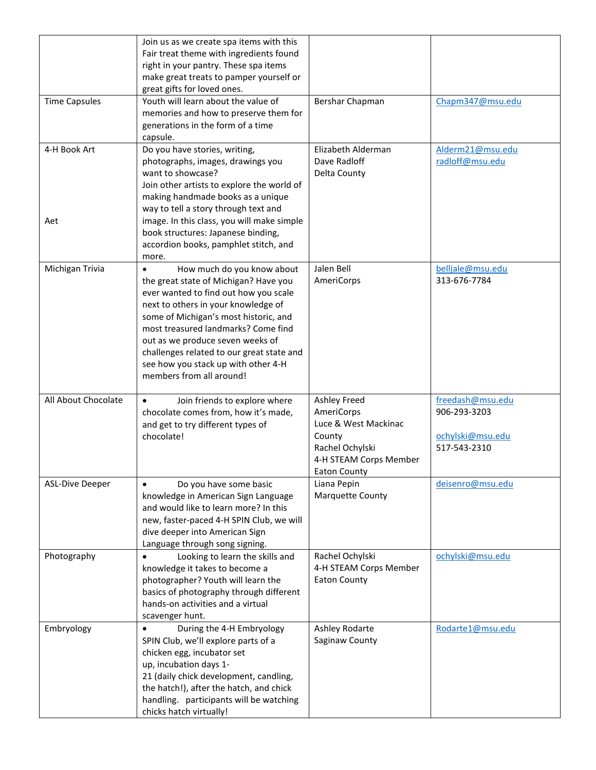|                        | Join us as we create spa items with this<br>Fair treat theme with ingredients found<br>right in your pantry. These spa items<br>make great treats to pamper yourself or<br>great gifts for loved ones.                                                                                                                                                                                  |                                                                                                                           |                                                                      |
|------------------------|-----------------------------------------------------------------------------------------------------------------------------------------------------------------------------------------------------------------------------------------------------------------------------------------------------------------------------------------------------------------------------------------|---------------------------------------------------------------------------------------------------------------------------|----------------------------------------------------------------------|
| <b>Time Capsules</b>   | Youth will learn about the value of<br>memories and how to preserve them for<br>generations in the form of a time<br>capsule.                                                                                                                                                                                                                                                           | Bershar Chapman                                                                                                           | Chapm347@msu.edu                                                     |
| 4-H Book Art<br>Aet    | Do you have stories, writing,<br>photographs, images, drawings you<br>want to showcase?<br>Join other artists to explore the world of<br>making handmade books as a unique<br>way to tell a story through text and<br>image. In this class, you will make simple<br>book structures: Japanese binding,                                                                                  | Elizabeth Alderman<br>Dave Radloff<br>Delta County                                                                        | Alderm21@msu.edu<br>radloff@msu.edu                                  |
|                        | accordion books, pamphlet stitch, and<br>more.                                                                                                                                                                                                                                                                                                                                          |                                                                                                                           |                                                                      |
| Michigan Trivia        | How much do you know about<br>the great state of Michigan? Have you<br>ever wanted to find out how you scale<br>next to others in your knowledge of<br>some of Michigan's most historic, and<br>most treasured landmarks? Come find<br>out as we produce seven weeks of<br>challenges related to our great state and<br>see how you stack up with other 4-H<br>members from all around! | Jalen Bell<br>AmeriCorps                                                                                                  | belljale@msu.edu<br>313-676-7784                                     |
| All About Chocolate    | Join friends to explore where<br>$\bullet$<br>chocolate comes from, how it's made,<br>and get to try different types of<br>chocolate!                                                                                                                                                                                                                                                   | Ashley Freed<br>AmeriCorps<br>Luce & West Mackinac<br>County<br>Rachel Ochylski<br>4-H STEAM Corps Member<br>Eaton County | freedash@msu.edu<br>906-293-3203<br>ochylski@msu.edu<br>517-543-2310 |
| <b>ASL-Dive Deeper</b> | Do you have some basic<br>$\bullet$<br>knowledge in American Sign Language<br>and would like to learn more? In this<br>new, faster-paced 4-H SPIN Club, we will<br>dive deeper into American Sign<br>Language through song signing.                                                                                                                                                     | Liana Pepin<br>Marquette County                                                                                           | deisenro@msu.edu                                                     |
| Photography            | Looking to learn the skills and<br>$\bullet$<br>knowledge it takes to become a<br>photographer? Youth will learn the<br>basics of photography through different<br>hands-on activities and a virtual<br>scavenger hunt.                                                                                                                                                                 | Rachel Ochylski<br>4-H STEAM Corps Member<br><b>Eaton County</b>                                                          | ochylski@msu.edu                                                     |
| Embryology             | During the 4-H Embryology<br>$\bullet$<br>SPIN Club, we'll explore parts of a<br>chicken egg, incubator set<br>up, incubation days 1-<br>21 (daily chick development, candling,<br>the hatch!), after the hatch, and chick<br>handling. participants will be watching<br>chicks hatch virtually!                                                                                        | Ashley Rodarte<br>Saginaw County                                                                                          | Rodarte1@msu.edu                                                     |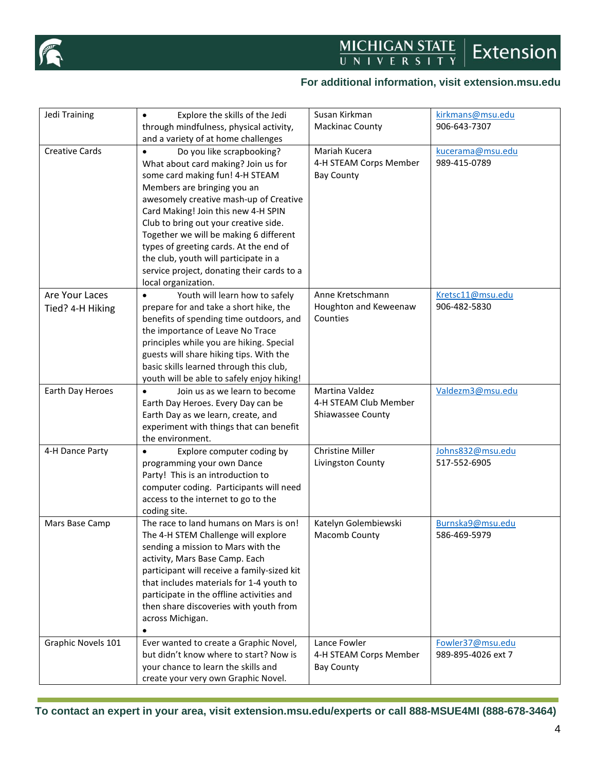

#### **For additional information, visit extension.msu.edu**

| Jedi Training         | Explore the skills of the Jedi<br>$\bullet$ | Susan Kirkman          | kirkmans@msu.edu   |
|-----------------------|---------------------------------------------|------------------------|--------------------|
|                       | through mindfulness, physical activity,     | <b>Mackinac County</b> | 906-643-7307       |
|                       | and a variety of at home challenges         |                        |                    |
| <b>Creative Cards</b> | Do you like scrapbooking?<br>$\bullet$      | Mariah Kucera          | kucerama@msu.edu   |
|                       | What about card making? Join us for         | 4-H STEAM Corps Member | 989-415-0789       |
|                       | some card making fun! 4-H STEAM             | <b>Bay County</b>      |                    |
|                       | Members are bringing you an                 |                        |                    |
|                       | awesomely creative mash-up of Creative      |                        |                    |
|                       | Card Making! Join this new 4-H SPIN         |                        |                    |
|                       | Club to bring out your creative side.       |                        |                    |
|                       | Together we will be making 6 different      |                        |                    |
|                       | types of greeting cards. At the end of      |                        |                    |
|                       | the club, youth will participate in a       |                        |                    |
|                       | service project, donating their cards to a  |                        |                    |
|                       | local organization.                         |                        |                    |
| Are Your Laces        | Youth will learn how to safely<br>$\bullet$ | Anne Kretschmann       | Kretsc11@msu.edu   |
| Tied? 4-H Hiking      | prepare for and take a short hike, the      | Houghton and Keweenaw  | 906-482-5830       |
|                       | benefits of spending time outdoors, and     | Counties               |                    |
|                       | the importance of Leave No Trace            |                        |                    |
|                       | principles while you are hiking. Special    |                        |                    |
|                       | guests will share hiking tips. With the     |                        |                    |
|                       | basic skills learned through this club,     |                        |                    |
|                       | youth will be able to safely enjoy hiking!  |                        |                    |
| Earth Day Heroes      | Join us as we learn to become<br>$\bullet$  | Martina Valdez         | Valdezm3@msu.edu   |
|                       | Earth Day Heroes. Every Day can be          | 4-H STEAM Club Member  |                    |
|                       | Earth Day as we learn, create, and          | Shiawassee County      |                    |
|                       | experiment with things that can benefit     |                        |                    |
|                       | the environment.                            |                        |                    |
| 4-H Dance Party       | Explore computer coding by                  | Christine Miller       | Johns832@msu.edu   |
|                       | programming your own Dance                  | Livingston County      | 517-552-6905       |
|                       | Party! This is an introduction to           |                        |                    |
|                       | computer coding. Participants will need     |                        |                    |
|                       | access to the internet to go to the         |                        |                    |
|                       | coding site.                                |                        |                    |
| Mars Base Camp        | The race to land humans on Mars is on!      | Katelyn Golembiewski   | Burnska9@msu.edu   |
|                       | The 4-H STEM Challenge will explore         | Macomb County          | 586-469-5979       |
|                       | sending a mission to Mars with the          |                        |                    |
|                       | activity, Mars Base Camp. Each              |                        |                    |
|                       | participant will receive a family-sized kit |                        |                    |
|                       | that includes materials for 1-4 youth to    |                        |                    |
|                       | participate in the offline activities and   |                        |                    |
|                       | then share discoveries with youth from      |                        |                    |
|                       | across Michigan.                            |                        |                    |
|                       |                                             |                        |                    |
| Graphic Novels 101    | Ever wanted to create a Graphic Novel,      | Lance Fowler           | Fowler37@msu.edu   |
|                       | but didn't know where to start? Now is      | 4-H STEAM Corps Member | 989-895-4026 ext 7 |
|                       | your chance to learn the skills and         | <b>Bay County</b>      |                    |
|                       | create your very own Graphic Novel.         |                        |                    |

**To contact an expert in your area, visit extension.msu.edu/experts or call 888-MSUE4MI (888-678-3464)**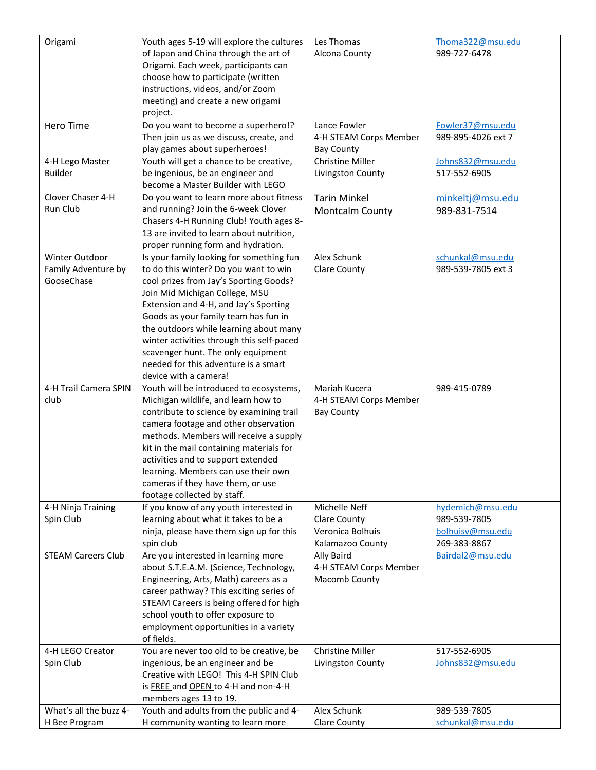| Origami                                 | Youth ages 5-19 will explore the cultures                                    | Les Thomas                              | Thoma322@msu.edu                 |
|-----------------------------------------|------------------------------------------------------------------------------|-----------------------------------------|----------------------------------|
|                                         | of Japan and China through the art of                                        | Alcona County                           | 989-727-6478                     |
|                                         | Origami. Each week, participants can                                         |                                         |                                  |
|                                         | choose how to participate (written                                           |                                         |                                  |
|                                         | instructions, videos, and/or Zoom                                            |                                         |                                  |
|                                         | meeting) and create a new origami                                            |                                         |                                  |
|                                         | project.                                                                     |                                         |                                  |
| <b>Hero Time</b>                        | Do you want to become a superhero!?                                          | Lance Fowler                            | Fowler37@msu.edu                 |
|                                         | Then join us as we discuss, create, and                                      | 4-H STEAM Corps Member                  | 989-895-4026 ext 7               |
|                                         | play games about superheroes!                                                | <b>Bay County</b>                       |                                  |
| 4-H Lego Master                         | Youth will get a chance to be creative,                                      | <b>Christine Miller</b>                 | Johns832@msu.edu                 |
| <b>Builder</b>                          | be ingenious, be an engineer and                                             | Livingston County                       | 517-552-6905                     |
|                                         | become a Master Builder with LEGO                                            |                                         |                                  |
| Clover Chaser 4-H                       | Do you want to learn more about fitness                                      | <b>Tarin Minkel</b>                     | minkeltj@msu.edu                 |
| Run Club                                | and running? Join the 6-week Clover                                          | Montcalm County                         | 989-831-7514                     |
|                                         | Chasers 4-H Running Club! Youth ages 8-                                      |                                         |                                  |
|                                         | 13 are invited to learn about nutrition,                                     |                                         |                                  |
|                                         | proper running form and hydration.                                           |                                         |                                  |
| Winter Outdoor                          | Is your family looking for something fun                                     | Alex Schunk                             | schunkal@msu.edu                 |
| Family Adventure by                     | to do this winter? Do you want to win                                        | <b>Clare County</b>                     | 989-539-7805 ext 3               |
| GooseChase                              | cool prizes from Jay's Sporting Goods?                                       |                                         |                                  |
|                                         | Join Mid Michigan College, MSU                                               |                                         |                                  |
|                                         | Extension and 4-H, and Jay's Sporting                                        |                                         |                                  |
|                                         | Goods as your family team has fun in                                         |                                         |                                  |
|                                         | the outdoors while learning about many                                       |                                         |                                  |
|                                         | winter activities through this self-paced                                    |                                         |                                  |
|                                         | scavenger hunt. The only equipment                                           |                                         |                                  |
|                                         | needed for this adventure is a smart                                         |                                         |                                  |
|                                         | device with a camera!                                                        |                                         |                                  |
| 4-H Trail Camera SPIN                   | Youth will be introduced to ecosystems,                                      | Mariah Kucera                           | 989-415-0789                     |
| club                                    | Michigan wildlife, and learn how to                                          | 4-H STEAM Corps Member                  |                                  |
|                                         | contribute to science by examining trail                                     | <b>Bay County</b>                       |                                  |
|                                         | camera footage and other observation                                         |                                         |                                  |
|                                         |                                                                              |                                         |                                  |
|                                         | methods. Members will receive a supply                                       |                                         |                                  |
|                                         | kit in the mail containing materials for                                     |                                         |                                  |
|                                         | activities and to support extended                                           |                                         |                                  |
|                                         | learning. Members can use their own                                          |                                         |                                  |
|                                         | cameras if they have them, or use                                            |                                         |                                  |
|                                         | footage collected by staff.                                                  |                                         |                                  |
| 4-H Ninja Training                      | If you know of any youth interested in                                       | Michelle Neff                           | hydemich@msu.edu                 |
| Spin Club                               | learning about what it takes to be a                                         | <b>Clare County</b><br>Veronica Bolhuis | 989-539-7805                     |
|                                         | ninja, please have them sign up for this<br>spin club                        |                                         | bolhuisv@msu.edu<br>269-383-8867 |
| <b>STEAM Careers Club</b>               | Are you interested in learning more                                          | Kalamazoo County<br>Ally Baird          | Bairdal2@msu.edu                 |
|                                         | about S.T.E.A.M. (Science, Technology,                                       | 4-H STEAM Corps Member                  |                                  |
|                                         | Engineering, Arts, Math) careers as a                                        | Macomb County                           |                                  |
|                                         | career pathway? This exciting series of                                      |                                         |                                  |
|                                         | STEAM Careers is being offered for high                                      |                                         |                                  |
|                                         | school youth to offer exposure to                                            |                                         |                                  |
|                                         | employment opportunities in a variety                                        |                                         |                                  |
|                                         | of fields.                                                                   |                                         |                                  |
| 4-H LEGO Creator                        | You are never too old to be creative, be                                     | <b>Christine Miller</b>                 | 517-552-6905                     |
| Spin Club                               | ingenious, be an engineer and be                                             | Livingston County                       | Johns832@msu.edu                 |
|                                         | Creative with LEGO! This 4-H SPIN Club                                       |                                         |                                  |
|                                         | is FREE and OPEN to 4-H and non-4-H                                          |                                         |                                  |
|                                         | members ages 13 to 19.                                                       |                                         |                                  |
| What's all the buzz 4-<br>H Bee Program | Youth and adults from the public and 4-<br>H community wanting to learn more | Alex Schunk<br><b>Clare County</b>      | 989-539-7805<br>schunkal@msu.edu |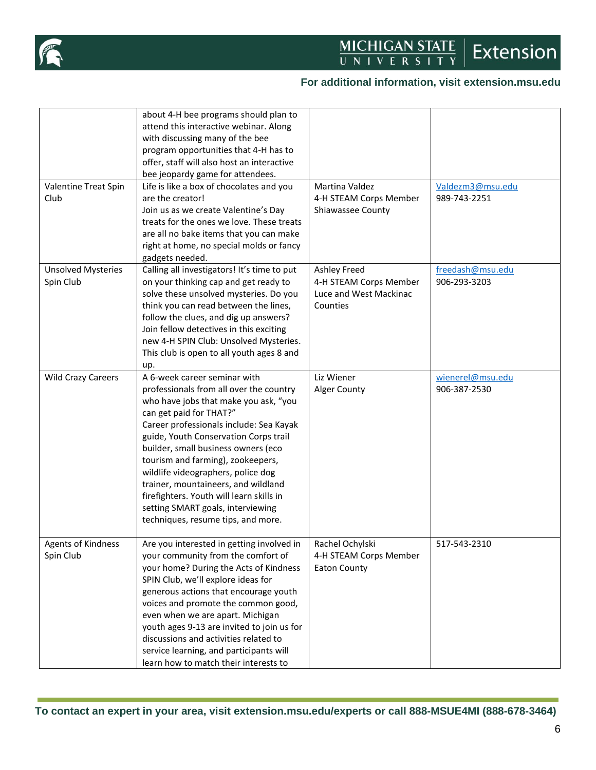

## **For additional information, visit extension.msu.edu**

|                           | about 4-H bee programs should plan to<br>attend this interactive webinar. Along |                        |                  |
|---------------------------|---------------------------------------------------------------------------------|------------------------|------------------|
|                           | with discussing many of the bee                                                 |                        |                  |
|                           | program opportunities that 4-H has to                                           |                        |                  |
|                           | offer, staff will also host an interactive                                      |                        |                  |
|                           | bee jeopardy game for attendees.                                                |                        |                  |
| Valentine Treat Spin      | Life is like a box of chocolates and you                                        | Martina Valdez         | Valdezm3@msu.edu |
| Club                      | are the creator!                                                                | 4-H STEAM Corps Member | 989-743-2251     |
|                           | Join us as we create Valentine's Day                                            | Shiawassee County      |                  |
|                           | treats for the ones we love. These treats                                       |                        |                  |
|                           | are all no bake items that you can make                                         |                        |                  |
|                           | right at home, no special molds or fancy                                        |                        |                  |
|                           | gadgets needed.                                                                 |                        |                  |
| <b>Unsolved Mysteries</b> | Calling all investigators! It's time to put                                     | Ashley Freed           | freedash@msu.edu |
| Spin Club                 | on your thinking cap and get ready to                                           | 4-H STEAM Corps Member | 906-293-3203     |
|                           | solve these unsolved mysteries. Do you                                          | Luce and West Mackinac |                  |
|                           | think you can read between the lines,                                           | Counties               |                  |
|                           | follow the clues, and dig up answers?                                           |                        |                  |
|                           | Join fellow detectives in this exciting                                         |                        |                  |
|                           | new 4-H SPIN Club: Unsolved Mysteries.                                          |                        |                  |
|                           | This club is open to all youth ages 8 and                                       |                        |                  |
|                           | up.                                                                             |                        |                  |
| <b>Wild Crazy Careers</b> | A 6-week career seminar with                                                    | Liz Wiener             | wienerel@msu.edu |
|                           | professionals from all over the country                                         | Alger County           | 906-387-2530     |
|                           | who have jobs that make you ask, "you                                           |                        |                  |
|                           | can get paid for THAT?"                                                         |                        |                  |
|                           | Career professionals include: Sea Kayak                                         |                        |                  |
|                           | guide, Youth Conservation Corps trail                                           |                        |                  |
|                           | builder, small business owners (eco                                             |                        |                  |
|                           | tourism and farming), zookeepers,                                               |                        |                  |
|                           | wildlife videographers, police dog                                              |                        |                  |
|                           | trainer, mountaineers, and wildland                                             |                        |                  |
|                           | firefighters. Youth will learn skills in                                        |                        |                  |
|                           | setting SMART goals, interviewing                                               |                        |                  |
|                           | techniques, resume tips, and more.                                              |                        |                  |
|                           |                                                                                 |                        |                  |
| Agents of Kindness        | Are you interested in getting involved in                                       | Rachel Ochylski        | 517-543-2310     |
| Spin Club                 | your community from the comfort of                                              | 4-H STEAM Corps Member |                  |
|                           | your home? During the Acts of Kindness                                          | <b>Eaton County</b>    |                  |
|                           | SPIN Club, we'll explore ideas for                                              |                        |                  |
|                           | generous actions that encourage youth                                           |                        |                  |
|                           | voices and promote the common good,                                             |                        |                  |
|                           | even when we are apart. Michigan                                                |                        |                  |
|                           | youth ages 9-13 are invited to join us for                                      |                        |                  |
|                           | discussions and activities related to                                           |                        |                  |
|                           | service learning, and participants will                                         |                        |                  |
|                           | learn how to match their interests to                                           |                        |                  |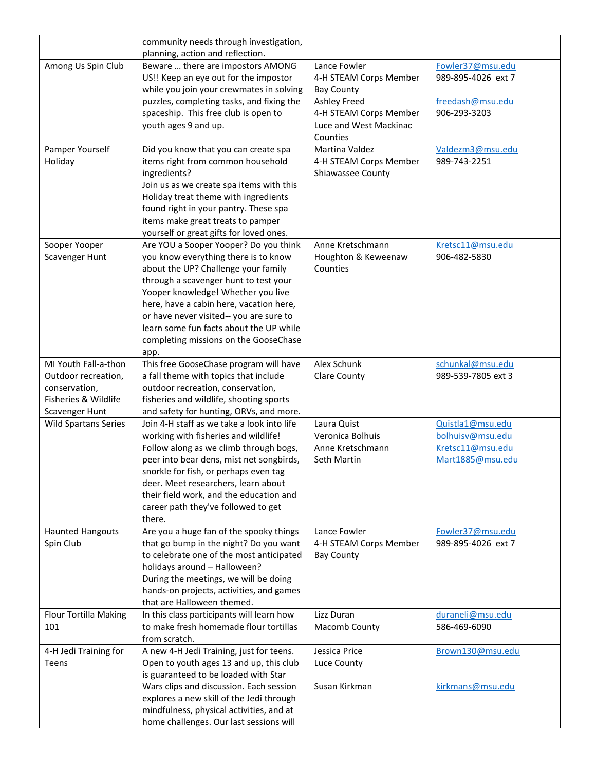|                                     | community needs through investigation,                                              |                        |                    |
|-------------------------------------|-------------------------------------------------------------------------------------|------------------------|--------------------|
|                                     | planning, action and reflection.                                                    |                        |                    |
| Among Us Spin Club                  | Beware  there are impostors AMONG                                                   | Lance Fowler           | Fowler37@msu.edu   |
|                                     | US!! Keep an eye out for the impostor                                               | 4-H STEAM Corps Member | 989-895-4026 ext 7 |
|                                     | while you join your crewmates in solving                                            | <b>Bay County</b>      |                    |
|                                     | puzzles, completing tasks, and fixing the                                           | Ashley Freed           | freedash@msu.edu   |
|                                     | spaceship. This free club is open to                                                | 4-H STEAM Corps Member | 906-293-3203       |
|                                     | youth ages 9 and up.                                                                | Luce and West Mackinac |                    |
|                                     |                                                                                     | Counties               |                    |
| Pamper Yourself                     | Did you know that you can create spa                                                | Martina Valdez         | Valdezm3@msu.edu   |
| Holiday                             | items right from common household                                                   | 4-H STEAM Corps Member | 989-743-2251       |
|                                     | ingredients?                                                                        | Shiawassee County      |                    |
|                                     | Join us as we create spa items with this                                            |                        |                    |
|                                     | Holiday treat theme with ingredients                                                |                        |                    |
|                                     | found right in your pantry. These spa                                               |                        |                    |
|                                     | items make great treats to pamper                                                   |                        |                    |
|                                     | yourself or great gifts for loved ones.                                             |                        |                    |
| Sooper Yooper                       | Are YOU a Sooper Yooper? Do you think                                               | Anne Kretschmann       | Kretsc11@msu.edu   |
| Scavenger Hunt                      | you know everything there is to know                                                | Houghton & Keweenaw    | 906-482-5830       |
|                                     | about the UP? Challenge your family                                                 | Counties               |                    |
|                                     | through a scavenger hunt to test your                                               |                        |                    |
|                                     | Yooper knowledge! Whether you live                                                  |                        |                    |
|                                     | here, have a cabin here, vacation here,                                             |                        |                    |
|                                     | or have never visited-- you are sure to                                             |                        |                    |
|                                     | learn some fun facts about the UP while                                             |                        |                    |
|                                     | completing missions on the GooseChase                                               |                        |                    |
|                                     | app.                                                                                |                        |                    |
| MI Youth Fall-a-thon                | This free GooseChase program will have                                              | Alex Schunk            | schunkal@msu.edu   |
| Outdoor recreation,                 | a fall theme with topics that include                                               | <b>Clare County</b>    | 989-539-7805 ext 3 |
| conservation,                       | outdoor recreation, conservation,                                                   |                        |                    |
| Fisheries & Wildlife                | fisheries and wildlife, shooting sports                                             |                        |                    |
| Scavenger Hunt                      | and safety for hunting, ORVs, and more.                                             |                        |                    |
| <b>Wild Spartans Series</b>         | Join 4-H staff as we take a look into life                                          | Laura Quist            | Quistla1@msu.edu   |
|                                     | working with fisheries and wildlife!                                                | Veronica Bolhuis       | bolhuisv@msu.edu   |
|                                     | Follow along as we climb through bogs,                                              | Anne Kretschmann       | Kretsc11@msu.edu   |
|                                     | peer into bear dens, mist net songbirds,                                            | Seth Martin            | Mart1885@msu.edu   |
|                                     | snorkle for fish, or perhaps even tag                                               |                        |                    |
|                                     | deer. Meet researchers, learn about                                                 |                        |                    |
|                                     | their field work, and the education and                                             |                        |                    |
|                                     | career path they've followed to get                                                 |                        |                    |
|                                     | there.                                                                              |                        |                    |
| <b>Haunted Hangouts</b>             | Are you a huge fan of the spooky things                                             | Lance Fowler           | Fowler37@msu.edu   |
| Spin Club                           | that go bump in the night? Do you want                                              | 4-H STEAM Corps Member | 989-895-4026 ext 7 |
|                                     | to celebrate one of the most anticipated                                            | <b>Bay County</b>      |                    |
|                                     | holidays around - Halloween?                                                        |                        |                    |
|                                     | During the meetings, we will be doing                                               |                        |                    |
|                                     | hands-on projects, activities, and games<br>that are Halloween themed.              |                        |                    |
|                                     |                                                                                     | Lizz Duran             |                    |
| <b>Flour Tortilla Making</b><br>101 | In this class participants will learn how<br>to make fresh homemade flour tortillas |                        | duraneli@msu.edu   |
|                                     | from scratch.                                                                       | Macomb County          | 586-469-6090       |
| 4-H Jedi Training for               | A new 4-H Jedi Training, just for teens.                                            | Jessica Price          | Brown130@msu.edu   |
| Teens                               | Open to youth ages 13 and up, this club                                             | Luce County            |                    |
|                                     | is guaranteed to be loaded with Star                                                |                        |                    |
|                                     | Wars clips and discussion. Each session                                             | Susan Kirkman          | kirkmans@msu.edu   |
|                                     | explores a new skill of the Jedi through                                            |                        |                    |
|                                     | mindfulness, physical activities, and at                                            |                        |                    |
|                                     | home challenges. Our last sessions will                                             |                        |                    |
|                                     |                                                                                     |                        |                    |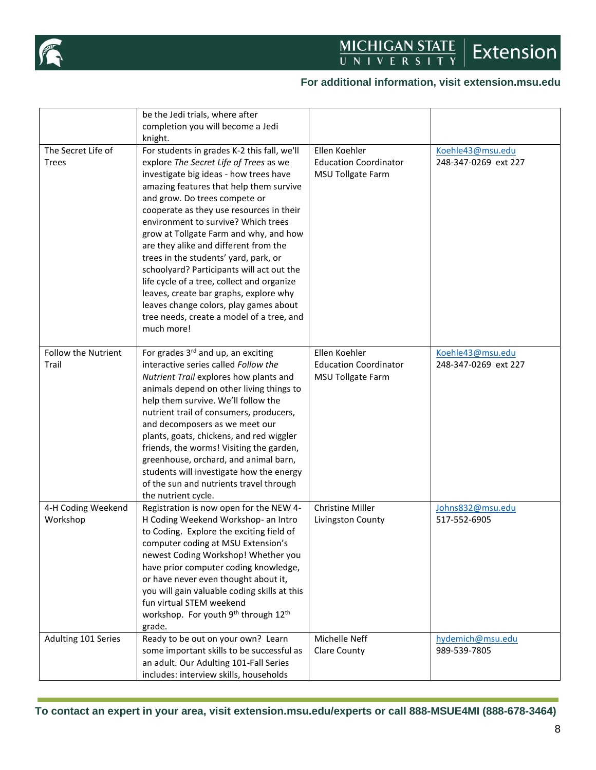

## **For additional information, visit extension.msu.edu**

|                                     | be the Jedi trials, where after<br>completion you will become a Jedi<br>knight.                                                                                                                                                                                                                                                                                                                                                                                                                                                                                                                                                                                      |                                                                           |                                          |
|-------------------------------------|----------------------------------------------------------------------------------------------------------------------------------------------------------------------------------------------------------------------------------------------------------------------------------------------------------------------------------------------------------------------------------------------------------------------------------------------------------------------------------------------------------------------------------------------------------------------------------------------------------------------------------------------------------------------|---------------------------------------------------------------------------|------------------------------------------|
| The Secret Life of<br><b>Trees</b>  | For students in grades K-2 this fall, we'll<br>explore The Secret Life of Trees as we<br>investigate big ideas - how trees have<br>amazing features that help them survive<br>and grow. Do trees compete or<br>cooperate as they use resources in their<br>environment to survive? Which trees<br>grow at Tollgate Farm and why, and how<br>are they alike and different from the<br>trees in the students' yard, park, or<br>schoolyard? Participants will act out the<br>life cycle of a tree, collect and organize<br>leaves, create bar graphs, explore why<br>leaves change colors, play games about<br>tree needs, create a model of a tree, and<br>much more! | Ellen Koehler<br><b>Education Coordinator</b><br>MSU Tollgate Farm        | Koehle43@msu.edu<br>248-347-0269 ext 227 |
| <b>Follow the Nutrient</b><br>Trail | For grades 3rd and up, an exciting<br>interactive series called Follow the<br>Nutrient Trail explores how plants and<br>animals depend on other living things to<br>help them survive. We'll follow the<br>nutrient trail of consumers, producers,<br>and decomposers as we meet our<br>plants, goats, chickens, and red wiggler<br>friends, the worms! Visiting the garden,<br>greenhouse, orchard, and animal barn,<br>students will investigate how the energy<br>of the sun and nutrients travel through<br>the nutrient cycle.                                                                                                                                  | Ellen Koehler<br><b>Education Coordinator</b><br><b>MSU Tollgate Farm</b> | Koehle43@msu.edu<br>248-347-0269 ext 227 |
| 4-H Coding Weekend<br>Workshop      | Registration is now open for the NEW 4-<br>H Coding Weekend Workshop- an Intro<br>to Coding. Explore the exciting field of<br>computer coding at MSU Extension's<br>newest Coding Workshop! Whether you<br>have prior computer coding knowledge,<br>or have never even thought about it,<br>you will gain valuable coding skills at this<br>fun virtual STEM weekend<br>workshop. For youth 9 <sup>th</sup> through 12 <sup>th</sup><br>grade.                                                                                                                                                                                                                       | Christine Miller<br>Livingston County                                     | Johns832@msu.edu<br>517-552-6905         |
| Adulting 101 Series                 | Ready to be out on your own? Learn<br>some important skills to be successful as<br>an adult. Our Adulting 101-Fall Series<br>includes: interview skills, households                                                                                                                                                                                                                                                                                                                                                                                                                                                                                                  | Michelle Neff<br><b>Clare County</b>                                      | hydemich@msu.edu<br>989-539-7805         |

**To contact an expert in your area, visit extension.msu.edu/experts or call 888-MSUE4MI (888-678-3464)**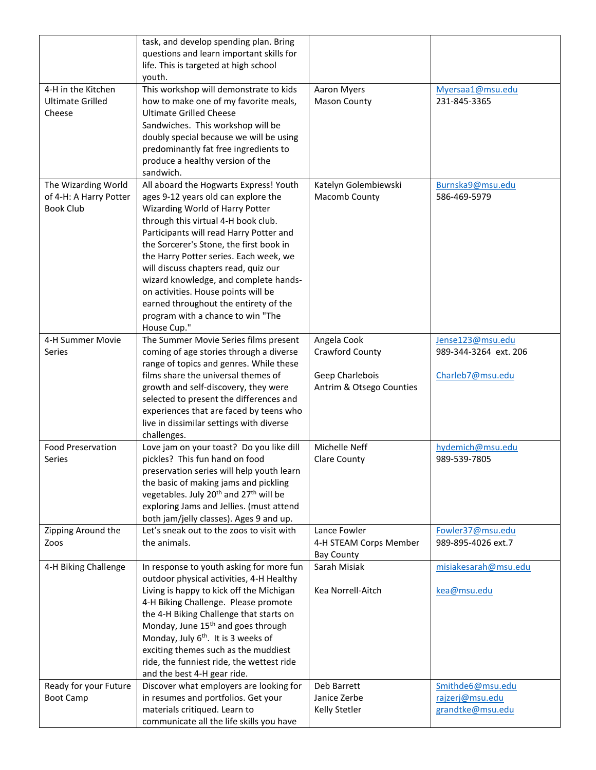|                          | task, and develop spending plan. Bring                         |                          |                       |
|--------------------------|----------------------------------------------------------------|--------------------------|-----------------------|
|                          | questions and learn important skills for                       |                          |                       |
|                          | life. This is targeted at high school                          |                          |                       |
|                          | youth.                                                         |                          |                       |
| 4-H in the Kitchen       | This workshop will demonstrate to kids                         | Aaron Myers              | Myersaa1@msu.edu      |
| <b>Ultimate Grilled</b>  | how to make one of my favorite meals,                          | <b>Mason County</b>      | 231-845-3365          |
|                          |                                                                |                          |                       |
| Cheese                   | <b>Ultimate Grilled Cheese</b>                                 |                          |                       |
|                          | Sandwiches. This workshop will be                              |                          |                       |
|                          | doubly special because we will be using                        |                          |                       |
|                          | predominantly fat free ingredients to                          |                          |                       |
|                          | produce a healthy version of the                               |                          |                       |
|                          | sandwich.                                                      |                          |                       |
| The Wizarding World      | All aboard the Hogwarts Express! Youth                         | Katelyn Golembiewski     | Burnska9@msu.edu      |
| of 4-H: A Harry Potter   | ages 9-12 years old can explore the                            | Macomb County            | 586-469-5979          |
| <b>Book Club</b>         | Wizarding World of Harry Potter                                |                          |                       |
|                          | through this virtual 4-H book club.                            |                          |                       |
|                          | Participants will read Harry Potter and                        |                          |                       |
|                          | the Sorcerer's Stone, the first book in                        |                          |                       |
|                          | the Harry Potter series. Each week, we                         |                          |                       |
|                          | will discuss chapters read, quiz our                           |                          |                       |
|                          |                                                                |                          |                       |
|                          | wizard knowledge, and complete hands-                          |                          |                       |
|                          | on activities. House points will be                            |                          |                       |
|                          | earned throughout the entirety of the                          |                          |                       |
|                          | program with a chance to win "The                              |                          |                       |
|                          | House Cup."                                                    |                          |                       |
| 4-H Summer Movie         | The Summer Movie Series films present                          | Angela Cook              | Jense123@msu.edu      |
| Series                   | coming of age stories through a diverse                        | Crawford County          | 989-344-3264 ext. 206 |
|                          | range of topics and genres. While these                        |                          |                       |
|                          | films share the universal themes of                            | Geep Charlebois          | Charleb7@msu.edu      |
|                          | growth and self-discovery, they were                           | Antrim & Otsego Counties |                       |
|                          | selected to present the differences and                        |                          |                       |
|                          | experiences that are faced by teens who                        |                          |                       |
|                          | live in dissimilar settings with diverse                       |                          |                       |
|                          | challenges.                                                    |                          |                       |
| <b>Food Preservation</b> | Love jam on your toast? Do you like dill                       | Michelle Neff            | hydemich@msu.edu      |
| Series                   | pickles? This fun hand on food                                 | Clare County             | 989-539-7805          |
|                          |                                                                |                          |                       |
|                          | preservation series will help youth learn                      |                          |                       |
|                          | the basic of making jams and pickling                          |                          |                       |
|                          | vegetables. July 20 <sup>th</sup> and 27 <sup>th</sup> will be |                          |                       |
|                          | exploring Jams and Jellies. (must attend                       |                          |                       |
|                          | both jam/jelly classes). Ages 9 and up.                        |                          |                       |
| Zipping Around the       | Let's sneak out to the zoos to visit with                      | Lance Fowler             | Fowler37@msu.edu      |
| Zoos                     | the animals.                                                   | 4-H STEAM Corps Member   | 989-895-4026 ext.7    |
|                          |                                                                | <b>Bay County</b>        |                       |
| 4-H Biking Challenge     | In response to youth asking for more fun                       | Sarah Misiak             | misiakesarah@msu.edu  |
|                          | outdoor physical activities, 4-H Healthy                       |                          |                       |
|                          | Living is happy to kick off the Michigan                       | Kea Norrell-Aitch        | kea@msu.edu           |
|                          | 4-H Biking Challenge. Please promote                           |                          |                       |
|                          | the 4-H Biking Challenge that starts on                        |                          |                       |
|                          | Monday, June 15 <sup>th</sup> and goes through                 |                          |                       |
|                          | Monday, July 6 <sup>th</sup> . It is 3 weeks of                |                          |                       |
|                          | exciting themes such as the muddiest                           |                          |                       |
|                          |                                                                |                          |                       |
|                          | ride, the funniest ride, the wettest ride                      |                          |                       |
|                          | and the best 4-H gear ride.                                    |                          |                       |
| Ready for your Future    | Discover what employers are looking for                        | Deb Barrett              | Smithde6@msu.edu      |
| <b>Boot Camp</b>         | in resumes and portfolios. Get your                            | Janice Zerbe             | rajzerj@msu.edu       |
|                          | materials critiqued. Learn to                                  | Kelly Stetler            | grandtke@msu.edu      |
|                          | communicate all the life skills you have                       |                          |                       |